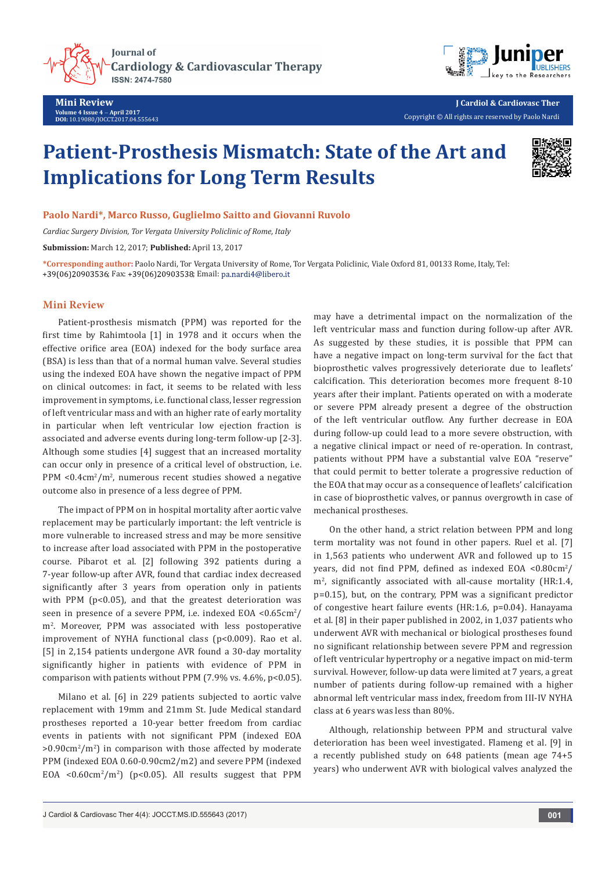**Journal of Cardiology & Cardiovascular Therapy ISSN: 2474-7580** 



**J Cardiol & Cardiovasc Ther** Copyright © All rights are reserved by Paolo Nardi

# **Patient-Prosthesis Mismatch: State of the Art and Implications for Long Term Results**



**Paolo Nardi\*, Marco Russo, Guglielmo Saitto and Giovanni Ruvolo**

*Cardiac Surgery Division, Tor Vergata University Policlinic of Rome, Italy*

**Submission:** March 12, 2017; **Published:** April 13, 2017

**\*Corresponding author:** Paolo Nardi, Tor Vergata University of Rome, Tor Vergata Policlinic, Viale Oxford 81, 00133 Rome, Italy, Tel: +39(06)20903536; Fax: +39(06)20903538; Email: pa.nardi4@libero.it

### **Mini Review**

Patient-prosthesis mismatch (PPM) was reported for the first time by Rahimtoola [1] in 1978 and it occurs when the effective orifice area (EOA) indexed for the body surface area (BSA) is less than that of a normal human valve. Several studies using the indexed EOA have shown the negative impact of PPM on clinical outcomes: in fact, it seems to be related with less improvement in symptoms, i.e. functional class, lesser regression of left ventricular mass and with an higher rate of early mortality in particular when left ventricular low ejection fraction is associated and adverse events during long-term follow-up [2-3]. Although some studies [4] suggest that an increased mortality can occur only in presence of a critical level of obstruction, i.e. PPM <0.4cm<sup>2</sup>/m<sup>2</sup>, numerous recent studies showed a negative outcome also in presence of a less degree of PPM.

The impact of PPM on in hospital mortality after aortic valve replacement may be particularly important: the left ventricle is more vulnerable to increased stress and may be more sensitive to increase after load associated with PPM in the postoperative course. Pibarot et al. [2] following 392 patients during a 7-year follow-up after AVR, found that cardiac index decreased significantly after 3 years from operation only in patients with PPM ( $p$ <0.05), and that the greatest deterioration was seen in presence of a severe PPM, i.e. indexed  $EOA < 0.65cm^2/$ m<sup>2</sup> . Moreover, PPM was associated with less postoperative improvement of NYHA functional class (p<0.009). Rao et al. [5] in 2,154 patients undergone AVR found a 30-day mortality significantly higher in patients with evidence of PPM in comparison with patients without PPM (7.9% vs. 4.6%, p<0.05).

Milano et al. [6] in 229 patients subjected to aortic valve replacement with 19mm and 21mm St. Jude Medical standard prostheses reported a 10-year better freedom from cardiac events in patients with not significant PPM (indexed EOA >0.90cm<sup>2</sup> /m<sup>2</sup> ) in comparison with those affected by moderate PPM (indexed EOA 0.60-0.90cm2/m2) and severe PPM (indexed EOA  $\langle 0.60 \text{cm}^2/\text{m}^2 \rangle$  (p $\langle 0.05 \rangle$ ). All results suggest that PPM may have a detrimental impact on the normalization of the left ventricular mass and function during follow-up after AVR. As suggested by these studies, it is possible that PPM can have a negative impact on long-term survival for the fact that bioprosthetic valves progressively deteriorate due to leaflets' calcification. This deterioration becomes more frequent 8-10 years after their implant. Patients operated on with a moderate or severe PPM already present a degree of the obstruction of the left ventricular outflow. Any further decrease in EOA during follow-up could lead to a more severe obstruction, with a negative clinical impact or need of re-operation. In contrast, patients without PPM have a substantial valve EOA "reserve" that could permit to better tolerate a progressive reduction of the EOA that may occur as a consequence of leaflets' calcification in case of bioprosthetic valves, or pannus overgrowth in case of mechanical prostheses.

On the other hand, a strict relation between PPM and long term mortality was not found in other papers. Ruel et al. [7] in 1,563 patients who underwent AVR and followed up to 15 years, did not find PPM, defined as indexed EOA  $\langle 0.80 \text{cm}^2 \rangle$ m<sup>2</sup> , significantly associated with all-cause mortality (HR:1.4, p=0.15), but, on the contrary, PPM was a significant predictor of congestive heart failure events (HR:1.6, p=0.04). Hanayama et al. [8] in their paper published in 2002, in 1,037 patients who underwent AVR with mechanical or biological prostheses found no significant relationship between severe PPM and regression of left ventricular hypertrophy or a negative impact on mid-term survival. However, follow-up data were limited at 7 years, a great number of patients during follow-up remained with a higher abnormal left ventricular mass index, freedom from III-IV NYHA class at 6 years was less than 80%.

Although, relationship between PPM and structural valve deterioration has been weel investigated. Flameng et al. [9] in a recently published study on 648 patients (mean age 74+5 years) who underwent AVR with biological valves analyzed the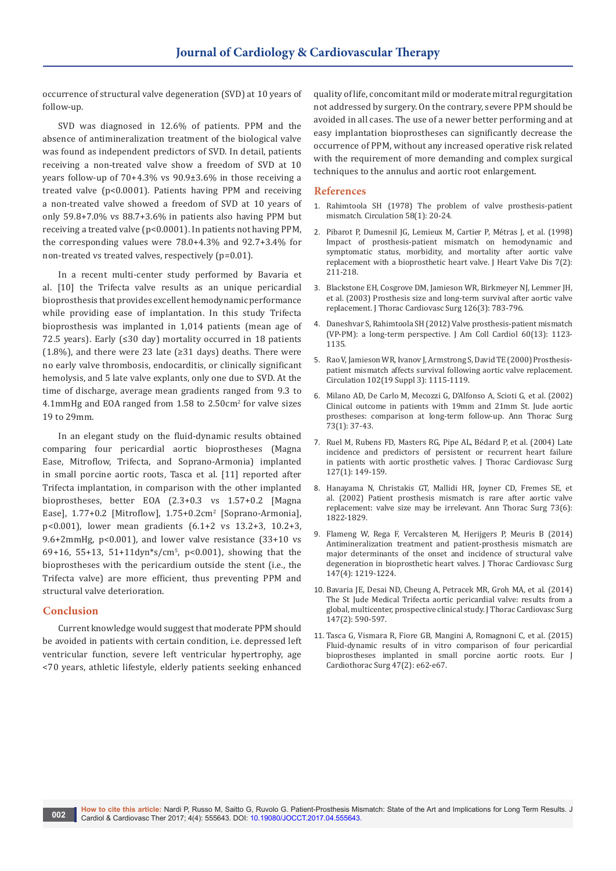occurrence of structural valve degeneration (SVD) at 10 years of follow-up.

SVD was diagnosed in 12.6% of patients. PPM and the absence of antimineralization treatment of the biological valve was found as independent predictors of SVD. In detail, patients receiving a non-treated valve show a freedom of SVD at 10 years follow-up of 70+4.3% vs 90.9±3.6% in those receiving a treated valve (p<0.0001). Patients having PPM and receiving a non-treated valve showed a freedom of SVD at 10 years of only 59.8+7.0% vs 88.7+3.6% in patients also having PPM but receiving a treated valve (p<0.0001). In patients not having PPM, the corresponding values were 78.0+4.3% and 92.7+3.4% for non-treated vs treated valves, respectively (p=0.01).

In a recent multi-center study performed by Bavaria et al. [10] the Trifecta valve results as an unique pericardial bioprosthesis that provides excellent hemodynamic performance while providing ease of implantation. In this study Trifecta bioprosthesis was implanted in 1,014 patients (mean age of 72.5 years). Early (≤30 day) mortality occurred in 18 patients (1.8%), and there were 23 late (≥31 days) deaths. There were no early valve thrombosis, endocarditis, or clinically significant hemolysis, and 5 late valve explants, only one due to SVD. At the time of discharge, average mean gradients ranged from 9.3 to 4.1mmHg and EOA ranged from 1.58 to 2.50cm<sup>2</sup> for valve sizes 19 to 29mm.

In an elegant study on the fluid-dynamic results obtained comparing four pericardial aortic bioprostheses (Magna Ease, Mitroflow, Trifecta, and Soprano-Armonia) implanted in small porcine aortic roots, Tasca et al. [11] reported after Trifecta implantation, in comparison with the other implanted bioprostheses, better EOA (2.3+0.3 vs 1.57+0.2 [Magna Ease], 1.77+0.2 [Mitroflow], 1.75+0.2cm<sup>2</sup> [Soprano-Armonia], p<0.001), lower mean gradients (6.1+2 vs 13.2+3, 10.2+3, 9.6+2mmHg, p<0.001), and lower valve resistance (33+10 vs 69+16, 55+13, 51+11dyn\*s/cm<sup>5</sup>, p<0.001), showing that the bioprostheses with the pericardium outside the stent (i.e., the Trifecta valve) are more efficient, thus preventing PPM and structural valve deterioration.

## **Conclusion**

Current knowledge would suggest that moderate PPM should be avoided in patients with certain condition, i.e. depressed left ventricular function, severe left ventricular hypertrophy, age <70 years, athletic lifestyle, elderly patients seeking enhanced

quality of life, concomitant mild or moderate mitral regurgitation not addressed by surgery. On the contrary, severe PPM should be avoided in all cases. The use of a newer better performing and at easy implantation bioprostheses can significantly decrease the occurrence of PPM, without any increased operative risk related with the requirement of more demanding and complex surgical techniques to the annulus and aortic root enlargement.

#### **References**

- 1. [Rahimtoola SH \(1978\) The problem of valve prosthesis-patient](https://www.ncbi.nlm.nih.gov/pubmed/348341)  [mismatch. Circulation 58\(1\): 20-24.](https://www.ncbi.nlm.nih.gov/pubmed/348341)
- 2. [Pibarot P, Dumesnil JG, Lemieux M, Cartier P, Métras J, et al. \(1998\)](https://www.ncbi.nlm.nih.gov/pubmed/9587864)  [Impact of prosthesis-patient mismatch on hemodynamic and](https://www.ncbi.nlm.nih.gov/pubmed/9587864)  [symptomatic status, morbidity, and mortality after aortic valve](https://www.ncbi.nlm.nih.gov/pubmed/9587864)  [replacement with a bioprosthetic heart valve. J Heart Valve Dis 7\(2\):](https://www.ncbi.nlm.nih.gov/pubmed/9587864)  [211-218.](https://www.ncbi.nlm.nih.gov/pubmed/9587864)
- 3. [Blackstone EH, Cosgrove DM, Jamieson WR, Birkmeyer NJ, Lemmer JH,](https://www.ncbi.nlm.nih.gov/pubmed/14502155)  [et al. \(2003\) Prosthesis size and long-term survival after aortic valve](https://www.ncbi.nlm.nih.gov/pubmed/14502155)  [replacement. J Thorac Cardiovasc Surg 126\(3\): 783-796.](https://www.ncbi.nlm.nih.gov/pubmed/14502155)
- 4. [Daneshvar S, Rahimtoola SH \(2012\) Valve prosthesis-patient mismatch](https://www.ncbi.nlm.nih.gov/pubmed/22995022)  [\(VP-PM\): a long-term perspective. J Am Coll Cardiol 60\(13\): 1123-](https://www.ncbi.nlm.nih.gov/pubmed/22995022) [1135.](https://www.ncbi.nlm.nih.gov/pubmed/22995022)
- 5. [Rao V, Jamieson WR, Ivanov J, Armstrong S, David TE \(2000\) Prosthesis](https://www.ncbi.nlm.nih.gov/pubmed/11082354)[patient mismatch affects survival following aortic valve replacement.](https://www.ncbi.nlm.nih.gov/pubmed/11082354)  [Circulation 102\(19 Suppl 3\): 1115-1119.](https://www.ncbi.nlm.nih.gov/pubmed/11082354)
- 6. [Milano AD, De Carlo M, Mecozzi G, D'Alfonso A, Scioti G, et al. \(2002\)](https://www.ncbi.nlm.nih.gov/pubmed/11834061)  [Clinical outcome in patients with 19mm and 21mm St. Jude aortic](https://www.ncbi.nlm.nih.gov/pubmed/11834061)  [prostheses: comparison at long-term follow-up. Ann Thorac Surg](https://www.ncbi.nlm.nih.gov/pubmed/11834061)  [73\(1\): 37-43.](https://www.ncbi.nlm.nih.gov/pubmed/11834061)
- 7. [Ruel M, Rubens FD, Masters RG, Pipe AL, Bé](https://www.ncbi.nlm.nih.gov/pubmed/14752425)dard P, et al. (2004) Late [incidence and predictors of persistent or recurrent heart failure](https://www.ncbi.nlm.nih.gov/pubmed/14752425)  in patients with aortic prosthetic valves. J Thorac Cardiovasc Surg [127\(1\): 149-159.](https://www.ncbi.nlm.nih.gov/pubmed/14752425)
- 8. [Hanayama N, Christakis GT, Mallidi HR, Joyner CD, Fremes SE, et](https://www.ncbi.nlm.nih.gov/pubmed/12078776)  [al. \(2002\) Patient prosthesis mismatch is rare after aortic valve](https://www.ncbi.nlm.nih.gov/pubmed/12078776)  [replacement: valve size may be irrelevant. Ann Thorac Surg 73\(6\):](https://www.ncbi.nlm.nih.gov/pubmed/12078776)  [1822-1829.](https://www.ncbi.nlm.nih.gov/pubmed/12078776)
- 9. [Flameng W, Rega F, Vercalsteren M, Herijgers P, Meuris B \(2014\)](https://www.ncbi.nlm.nih.gov/pubmed/23623617)  [Antimineralization treatment and patient-prosthesis mismatch are](https://www.ncbi.nlm.nih.gov/pubmed/23623617)  [major determinants of the onset and incidence of structural valve](https://www.ncbi.nlm.nih.gov/pubmed/23623617)  [degeneration in bioprosthetic heart valves. J Thorac Cardiovasc Surg](https://www.ncbi.nlm.nih.gov/pubmed/23623617)  [147\(4\): 1219-1224.](https://www.ncbi.nlm.nih.gov/pubmed/23623617)
- 10. [Bavaria JE, Desai ND, Cheung A, Petracek MR, Groh MA, et al. \(2014\)](https://www.ncbi.nlm.nih.gov/pubmed/23477687)  [The St Jude Medical Trifecta aortic pericardial valve: results from a](https://www.ncbi.nlm.nih.gov/pubmed/23477687)  [global, multicenter, prospective clinical study. J Thorac Cardiovasc Surg](https://www.ncbi.nlm.nih.gov/pubmed/23477687)  [147\(2\): 590-597.](https://www.ncbi.nlm.nih.gov/pubmed/23477687)
- 11. [Tasca G, Vismara R, Fiore GB, Mangini A, Romagnoni C, et al. \(2015\)](https://www.ncbi.nlm.nih.gov/pubmed/25414428)  [Fluid-dynamic results of in vitro comparison of four pericardial](https://www.ncbi.nlm.nih.gov/pubmed/25414428)  [bioprostheses implanted in small porcine aortic roots. Eur J](https://www.ncbi.nlm.nih.gov/pubmed/25414428)  [Cardiothorac Surg 47\(2\): e62-e67.](https://www.ncbi.nlm.nih.gov/pubmed/25414428)